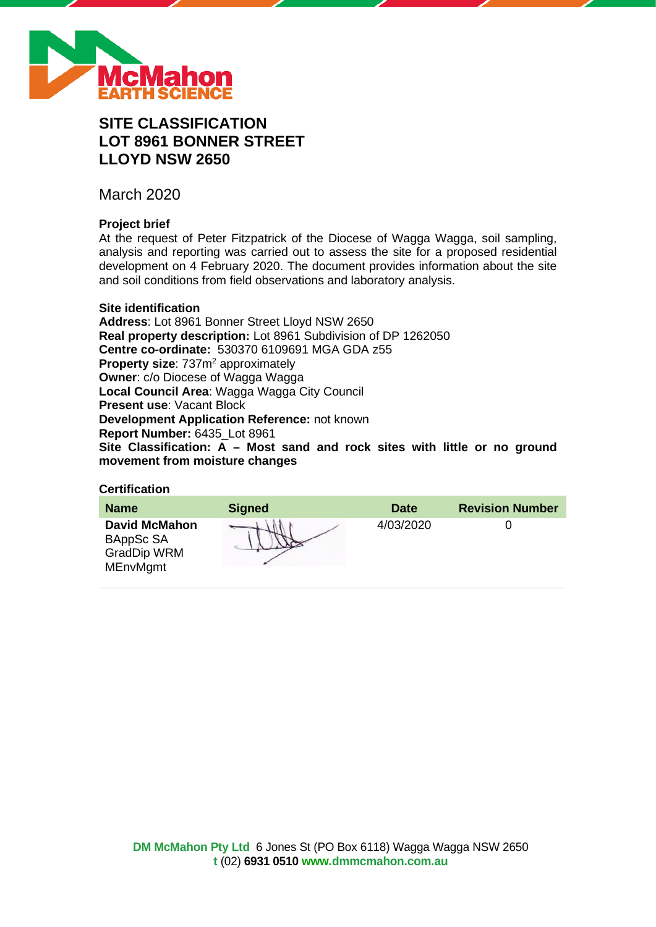

# **SITE CLASSIFICATION LOT 8961 BONNER STREET LLOYD NSW 2650**

March 2020

# **Project brief**

At the request of Peter Fitzpatrick of the Diocese of Wagga Wagga, soil sampling, analysis and reporting was carried out to assess the site for a proposed residential development on 4 February 2020. The document provides information about the site and soil conditions from field observations and laboratory analysis.

### **Site identification**

**Address**: Lot 8961 Bonner Street Lloyd NSW 2650 **Real property description:** Lot 8961 Subdivision of DP 1262050 **Centre co-ordinate:** 530370 6109691 MGA GDA z55 **Property size:** 737m<sup>2</sup> approximately **Owner**: c/o Diocese of Wagga Wagga **Local Council Area**: Wagga Wagga City Council **Present use**: Vacant Block **Development Application Reference:** not known **Report Number:** 6435\_Lot 8961 **Site Classification: A – Most sand and rock sites with little or no ground movement from moisture changes**

# **Certification**

| <b>Name</b>                                                                | <b>Signed</b> | <b>Date</b> | <b>Revision Number</b> |
|----------------------------------------------------------------------------|---------------|-------------|------------------------|
| <b>David McMahon</b><br>BAppSc SA<br><b>GradDip WRM</b><br><b>MEnvMgmt</b> |               | 4/03/2020   |                        |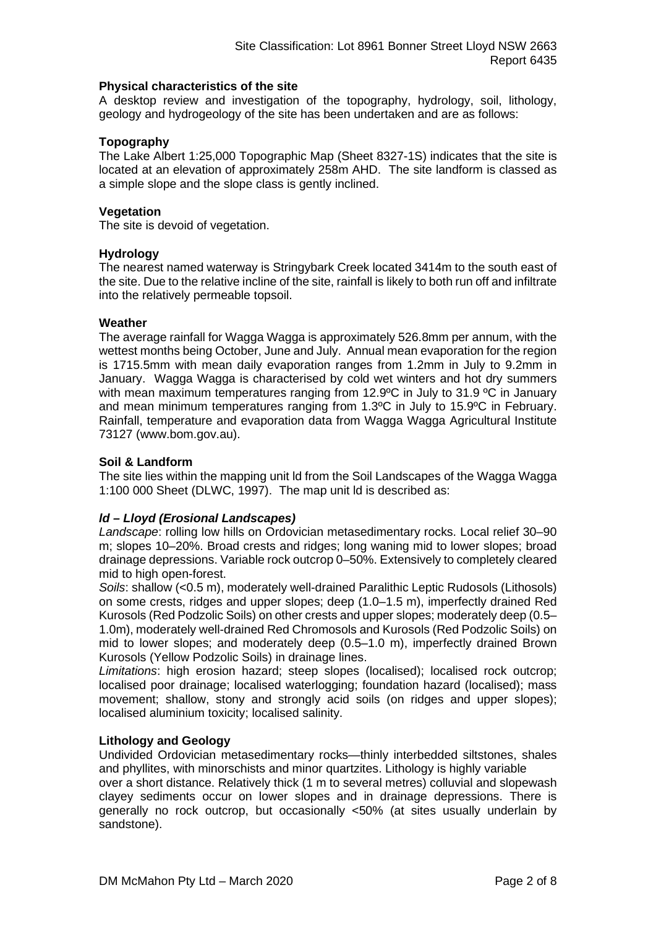### **Physical characteristics of the site**

A desktop review and investigation of the topography, hydrology, soil, lithology, geology and hydrogeology of the site has been undertaken and are as follows:

### **Topography**

The Lake Albert 1:25,000 Topographic Map (Sheet 8327-1S) indicates that the site is located at an elevation of approximately 258m AHD. The site landform is classed as a simple slope and the slope class is gently inclined.

### **Vegetation**

The site is devoid of vegetation.

### **Hydrology**

The nearest named waterway is Stringybark Creek located 3414m to the south east of the site. Due to the relative incline of the site, rainfall is likely to both run off and infiltrate into the relatively permeable topsoil.

### **Weather**

The average rainfall for Wagga Wagga is approximately 526.8mm per annum, with the wettest months being October, June and July. Annual mean evaporation for the region is 1715.5mm with mean daily evaporation ranges from 1.2mm in July to 9.2mm in January. Wagga Wagga is characterised by cold wet winters and hot dry summers with mean maximum temperatures ranging from 12.9°C in July to 31.9 °C in January and mean minimum temperatures ranging from 1.3ºC in July to 15.9ºC in February. Rainfall, temperature and evaporation data from Wagga Wagga Agricultural Institute 73127 (www.bom.gov.au).

### **Soil & Landform**

The site lies within the mapping unit ld from the Soil Landscapes of the Wagga Wagga 1:100 000 Sheet (DLWC, 1997). The map unit ld is described as:

# *ld – Lloyd (Erosional Landscapes)*

*Landscape*: rolling low hills on Ordovician metasedimentary rocks. Local relief 30–90 m; slopes 10–20%. Broad crests and ridges; long waning mid to lower slopes; broad drainage depressions. Variable rock outcrop 0–50%. Extensively to completely cleared mid to high open-forest.

*Soils*: shallow (<0.5 m), moderately well-drained Paralithic Leptic Rudosols (Lithosols) on some crests, ridges and upper slopes; deep (1.0–1.5 m), imperfectly drained Red Kurosols (Red Podzolic Soils) on other crests and upper slopes; moderately deep (0.5– 1.0m), moderately well-drained Red Chromosols and Kurosols (Red Podzolic Soils) on mid to lower slopes; and moderately deep (0.5–1.0 m), imperfectly drained Brown Kurosols (Yellow Podzolic Soils) in drainage lines.

*Limitations*: high erosion hazard; steep slopes (localised); localised rock outcrop; localised poor drainage; localised waterlogging; foundation hazard (localised); mass movement; shallow, stony and strongly acid soils (on ridges and upper slopes); localised aluminium toxicity; localised salinity.

### **Lithology and Geology**

Undivided Ordovician metasedimentary rocks—thinly interbedded siltstones, shales and phyllites, with minorschists and minor quartzites. Lithology is highly variable

over a short distance. Relatively thick (1 m to several metres) colluvial and slopewash clayey sediments occur on lower slopes and in drainage depressions. There is generally no rock outcrop, but occasionally <50% (at sites usually underlain by sandstone).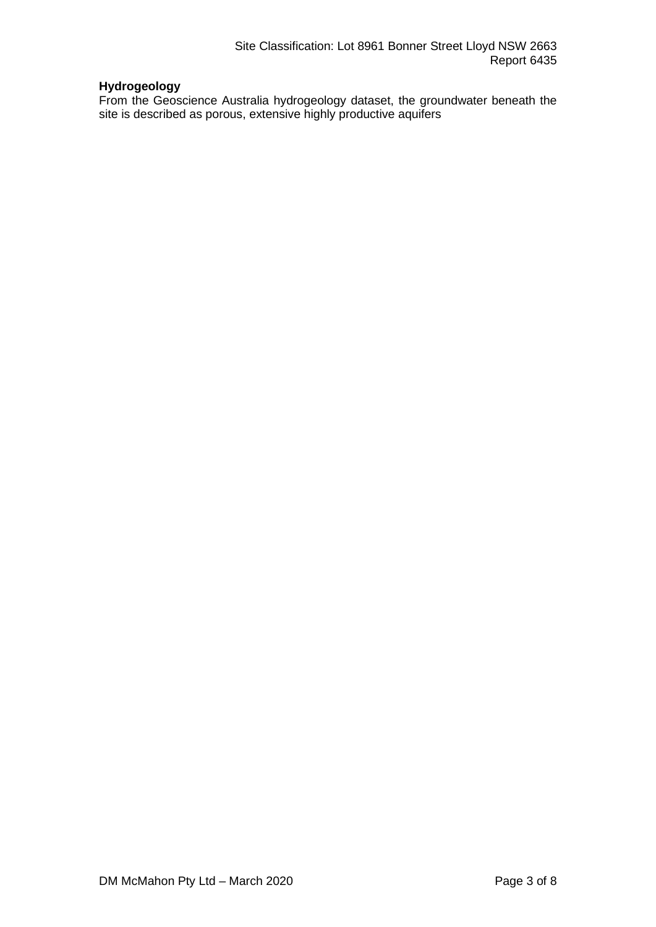# **Hydrogeology**

From the Geoscience Australia hydrogeology dataset, the groundwater beneath the site is described as porous, extensive highly productive aquifers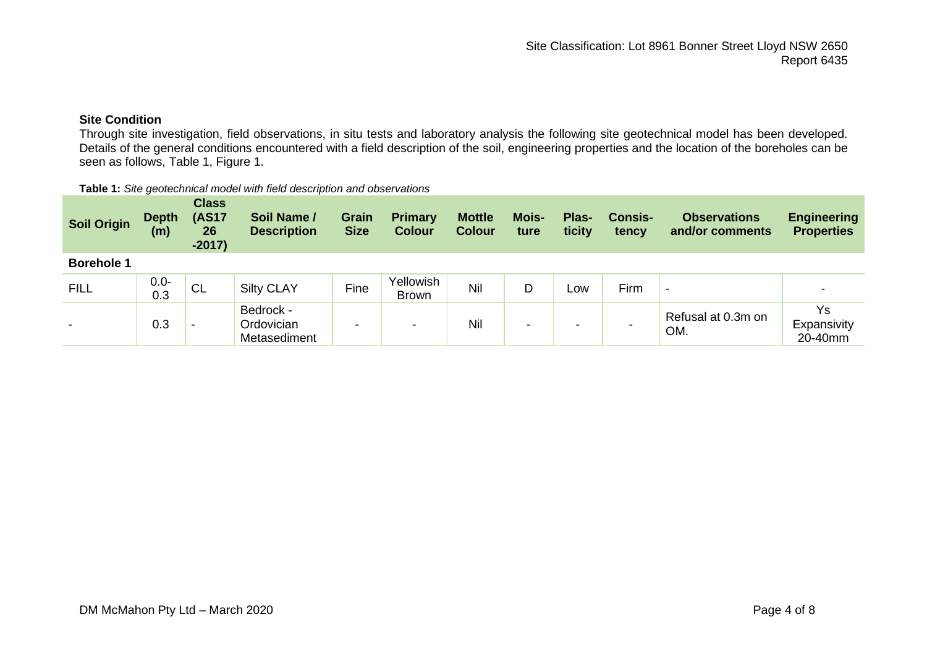# **Site Condition**

Through site investigation, field observations, in situ tests and laboratory analysis the following site geotechnical model has been developed. Details of the general conditions encountered with a field description of the soil, engineering properties and the location of the boreholes can be seen as follows, Table 1, Figure 1.

#### **Table 1:** *Site geotechnical model with field description and observations*

| <b>Soil Origin</b>       | <b>Depth</b><br>(m) | <b>Class</b><br><b>(AS17</b><br>26<br>$-2017)$ | Soil Name /<br><b>Description</b>       | <b>Grain</b><br><b>Size</b> | <b>Primary</b><br><b>Colour</b> | <b>Mottle</b><br><b>Colour</b> | <b>Mois-</b><br>ture | Plas-<br>ticity | <b>Consis-</b><br>tency | <b>Observations</b><br>and/or comments | <b>Engineering</b><br><b>Properties</b> |
|--------------------------|---------------------|------------------------------------------------|-----------------------------------------|-----------------------------|---------------------------------|--------------------------------|----------------------|-----------------|-------------------------|----------------------------------------|-----------------------------------------|
| <b>Borehole 1</b>        |                     |                                                |                                         |                             |                                 |                                |                      |                 |                         |                                        |                                         |
| <b>FILL</b>              | $0.0 -$<br>0.3      | ' CL                                           | <b>Silty CLAY</b>                       | Fine                        | Yellowish<br><b>Brown</b>       | Nil                            | D                    | Low             | Firm                    | $\,$                                   |                                         |
| $\overline{\phantom{0}}$ | 0.3                 | -                                              | Bedrock -<br>Ordovician<br>Metasediment | -                           | $\overline{\phantom{a}}$        | Nil                            | -                    |                 |                         | Refusal at 0.3m on<br>OM.              | Ys<br>Expansivity<br>20-40mm            |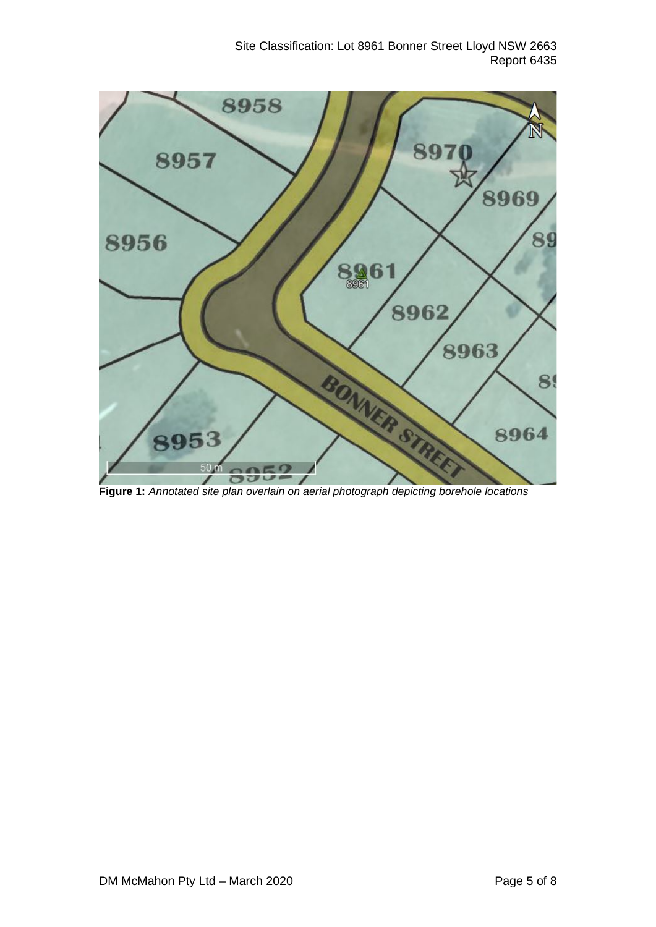Site Classification: Lot 8961 Bonner Street Lloyd NSW 2663 Report 6435



**Figure 1:** *Annotated site plan overlain on aerial photograph depicting borehole locations*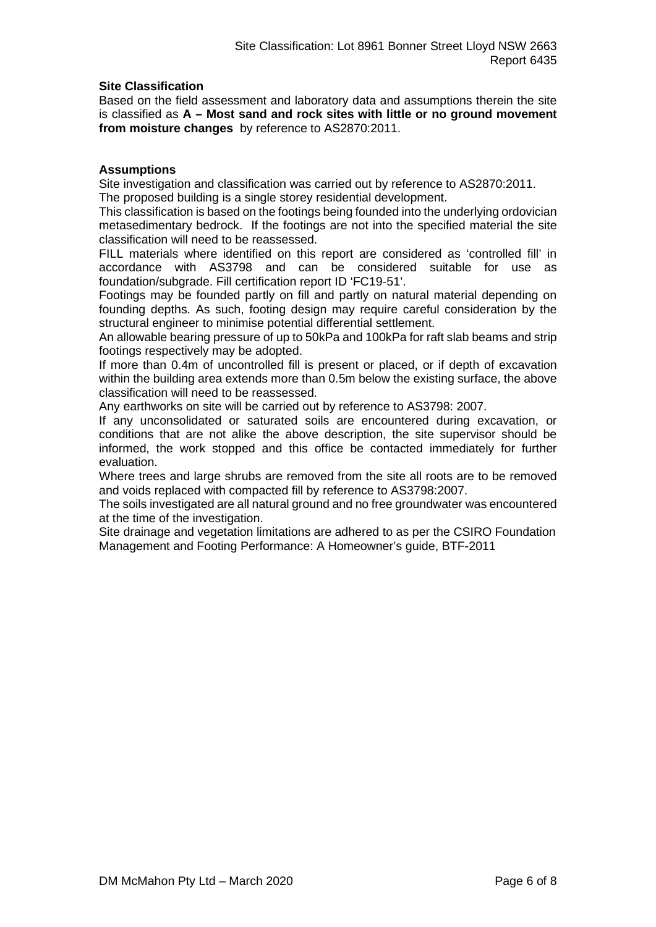# **Site Classification**

Based on the field assessment and laboratory data and assumptions therein the site is classified as **A – Most sand and rock sites with little or no ground movement from moisture changes** by reference to AS2870:2011.

### **Assumptions**

Site investigation and classification was carried out by reference to AS2870:2011. The proposed building is a single storey residential development.

This classification is based on the footings being founded into the underlying ordovician metasedimentary bedrock. If the footings are not into the specified material the site classification will need to be reassessed.

FILL materials where identified on this report are considered as 'controlled fill' in accordance with AS3798 and can be considered suitable for use as foundation/subgrade. Fill certification report ID 'FC19-51'.

Footings may be founded partly on fill and partly on natural material depending on founding depths. As such, footing design may require careful consideration by the structural engineer to minimise potential differential settlement.

An allowable bearing pressure of up to 50kPa and 100kPa for raft slab beams and strip footings respectively may be adopted.

If more than 0.4m of uncontrolled fill is present or placed, or if depth of excavation within the building area extends more than 0.5m below the existing surface, the above classification will need to be reassessed.

Any earthworks on site will be carried out by reference to AS3798: 2007.

If any unconsolidated or saturated soils are encountered during excavation, or conditions that are not alike the above description, the site supervisor should be informed, the work stopped and this office be contacted immediately for further evaluation.

Where trees and large shrubs are removed from the site all roots are to be removed and voids replaced with compacted fill by reference to AS3798:2007.

The soils investigated are all natural ground and no free groundwater was encountered at the time of the investigation.

Site drainage and vegetation limitations are adhered to as per the CSIRO Foundation Management and Footing Performance: A Homeowner's guide, BTF-2011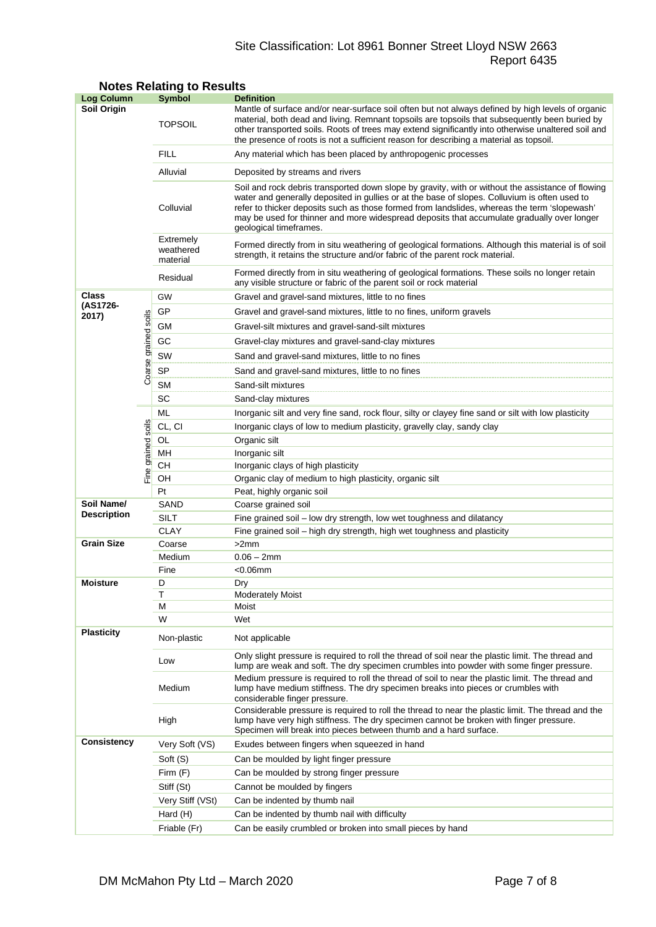# Site Classification: Lot 8961 Bonner Street Lloyd NSW 2663 Report 6435

| <b>Log Column</b>  |                      | <b>Symbol</b>                                                                                                                                                                                  | <b>Definition</b>                                                                                                                                                                                                                                                                                                                                                                                                          |  |  |  |
|--------------------|----------------------|------------------------------------------------------------------------------------------------------------------------------------------------------------------------------------------------|----------------------------------------------------------------------------------------------------------------------------------------------------------------------------------------------------------------------------------------------------------------------------------------------------------------------------------------------------------------------------------------------------------------------------|--|--|--|
| Soil Origin        |                      | <b>TOPSOIL</b>                                                                                                                                                                                 | Mantle of surface and/or near-surface soil often but not always defined by high levels of organic<br>material, both dead and living. Remnant topsoils are topsoils that subsequently been buried by<br>other transported soils. Roots of trees may extend significantly into otherwise unaltered soil and<br>the presence of roots is not a sufficient reason for describing a material as topsoil.                        |  |  |  |
|                    |                      | <b>FILL</b>                                                                                                                                                                                    | Any material which has been placed by anthropogenic processes                                                                                                                                                                                                                                                                                                                                                              |  |  |  |
|                    |                      | Alluvial                                                                                                                                                                                       | Deposited by streams and rivers                                                                                                                                                                                                                                                                                                                                                                                            |  |  |  |
|                    |                      | Colluvial                                                                                                                                                                                      | Soil and rock debris transported down slope by gravity, with or without the assistance of flowing<br>water and generally deposited in gullies or at the base of slopes. Colluvium is often used to<br>refer to thicker deposits such as those formed from landslides, whereas the term 'slopewash'<br>may be used for thinner and more widespread deposits that accumulate gradually over longer<br>geological timeframes. |  |  |  |
|                    |                      | Extremely<br>weathered<br>material                                                                                                                                                             | Formed directly from in situ weathering of geological formations. Although this material is of soil<br>strength, it retains the structure and/or fabric of the parent rock material.                                                                                                                                                                                                                                       |  |  |  |
|                    |                      | Residual                                                                                                                                                                                       | Formed directly from in situ weathering of geological formations. These soils no longer retain<br>any visible structure or fabric of the parent soil or rock material                                                                                                                                                                                                                                                      |  |  |  |
| Class              |                      | GW                                                                                                                                                                                             | Gravel and gravel-sand mixtures, little to no fines                                                                                                                                                                                                                                                                                                                                                                        |  |  |  |
| (AS1726-           |                      | GP<br>Gravel and gravel-sand mixtures, little to no fines, uniform gravels                                                                                                                     |                                                                                                                                                                                                                                                                                                                                                                                                                            |  |  |  |
| 2017)              |                      | GМ                                                                                                                                                                                             | Gravel-silt mixtures and gravel-sand-silt mixtures                                                                                                                                                                                                                                                                                                                                                                         |  |  |  |
|                    |                      | GC                                                                                                                                                                                             |                                                                                                                                                                                                                                                                                                                                                                                                                            |  |  |  |
|                    |                      | SW                                                                                                                                                                                             | Gravel-clay mixtures and gravel-sand-clay mixtures                                                                                                                                                                                                                                                                                                                                                                         |  |  |  |
|                    |                      |                                                                                                                                                                                                | Sand and gravel-sand mixtures, little to no fines                                                                                                                                                                                                                                                                                                                                                                          |  |  |  |
|                    | Coarse grained soils | SP<br><b>SM</b>                                                                                                                                                                                | Sand and gravel-sand mixtures, little to no fines                                                                                                                                                                                                                                                                                                                                                                          |  |  |  |
|                    |                      | SC                                                                                                                                                                                             | Sand-silt mixtures                                                                                                                                                                                                                                                                                                                                                                                                         |  |  |  |
|                    |                      | ML                                                                                                                                                                                             | Sand-clay mixtures                                                                                                                                                                                                                                                                                                                                                                                                         |  |  |  |
|                    |                      | CL, CI                                                                                                                                                                                         | Inorganic silt and very fine sand, rock flour, silty or clayey fine sand or silt with low plasticity                                                                                                                                                                                                                                                                                                                       |  |  |  |
|                    |                      |                                                                                                                                                                                                | Inorganic clays of low to medium plasticity, gravelly clay, sandy clay                                                                                                                                                                                                                                                                                                                                                     |  |  |  |
|                    |                      | OL<br>MН                                                                                                                                                                                       | Organic silt<br>Inorganic silt                                                                                                                                                                                                                                                                                                                                                                                             |  |  |  |
|                    |                      | CН                                                                                                                                                                                             | Inorganic clays of high plasticity                                                                                                                                                                                                                                                                                                                                                                                         |  |  |  |
|                    | Fine grained soils   | OH                                                                                                                                                                                             | Organic clay of medium to high plasticity, organic silt                                                                                                                                                                                                                                                                                                                                                                    |  |  |  |
|                    |                      | Pt                                                                                                                                                                                             | Peat, highly organic soil                                                                                                                                                                                                                                                                                                                                                                                                  |  |  |  |
| Soil Name/         |                      | SAND                                                                                                                                                                                           | Coarse grained soil                                                                                                                                                                                                                                                                                                                                                                                                        |  |  |  |
| <b>Description</b> |                      | <b>SILT</b>                                                                                                                                                                                    | Fine grained soil - low dry strength, low wet toughness and dilatancy                                                                                                                                                                                                                                                                                                                                                      |  |  |  |
|                    |                      | <b>CLAY</b>                                                                                                                                                                                    | Fine grained soil - high dry strength, high wet toughness and plasticity                                                                                                                                                                                                                                                                                                                                                   |  |  |  |
| <b>Grain Size</b>  |                      | Coarse                                                                                                                                                                                         | >2mm                                                                                                                                                                                                                                                                                                                                                                                                                       |  |  |  |
|                    |                      | Medium                                                                                                                                                                                         | $0.06 - 2mm$                                                                                                                                                                                                                                                                                                                                                                                                               |  |  |  |
|                    |                      | Fine                                                                                                                                                                                           | <0.06mm                                                                                                                                                                                                                                                                                                                                                                                                                    |  |  |  |
| Moisture           |                      | D                                                                                                                                                                                              | Dry                                                                                                                                                                                                                                                                                                                                                                                                                        |  |  |  |
|                    |                      | Τ<br>М                                                                                                                                                                                         | <b>Moderately Moist</b><br>Moist                                                                                                                                                                                                                                                                                                                                                                                           |  |  |  |
|                    |                      | W                                                                                                                                                                                              | Wet                                                                                                                                                                                                                                                                                                                                                                                                                        |  |  |  |
| <b>Plasticity</b>  |                      | Non-plastic                                                                                                                                                                                    | Not applicable                                                                                                                                                                                                                                                                                                                                                                                                             |  |  |  |
|                    | Low                  | Only slight pressure is required to roll the thread of soil near the plastic limit. The thread and<br>lump are weak and soft. The dry specimen crumbles into powder with some finger pressure. |                                                                                                                                                                                                                                                                                                                                                                                                                            |  |  |  |
|                    |                      | Medium                                                                                                                                                                                         | Medium pressure is required to roll the thread of soil to near the plastic limit. The thread and<br>lump have medium stiffness. The dry specimen breaks into pieces or crumbles with<br>considerable finger pressure.                                                                                                                                                                                                      |  |  |  |
|                    |                      | High                                                                                                                                                                                           | Considerable pressure is required to roll the thread to near the plastic limit. The thread and the<br>lump have very high stiffness. The dry specimen cannot be broken with finger pressure.<br>Specimen will break into pieces between thumb and a hard surface.                                                                                                                                                          |  |  |  |
| <b>Consistency</b> |                      | Very Soft (VS)                                                                                                                                                                                 | Exudes between fingers when squeezed in hand                                                                                                                                                                                                                                                                                                                                                                               |  |  |  |
|                    |                      | Soft (S)                                                                                                                                                                                       | Can be moulded by light finger pressure                                                                                                                                                                                                                                                                                                                                                                                    |  |  |  |
|                    |                      | Firm $(F)$                                                                                                                                                                                     | Can be moulded by strong finger pressure                                                                                                                                                                                                                                                                                                                                                                                   |  |  |  |
|                    |                      | Stiff (St)                                                                                                                                                                                     | Cannot be moulded by fingers                                                                                                                                                                                                                                                                                                                                                                                               |  |  |  |
|                    |                      | Very Stiff (VSt)                                                                                                                                                                               | Can be indented by thumb nail                                                                                                                                                                                                                                                                                                                                                                                              |  |  |  |
|                    |                      | Hard (H)                                                                                                                                                                                       | Can be indented by thumb nail with difficulty                                                                                                                                                                                                                                                                                                                                                                              |  |  |  |
|                    |                      | Friable (Fr)                                                                                                                                                                                   | Can be easily crumbled or broken into small pieces by hand                                                                                                                                                                                                                                                                                                                                                                 |  |  |  |

# **Notes Relating to Results**